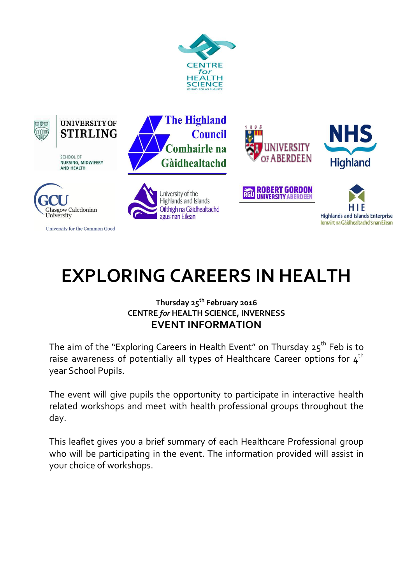



**UNIVERSITY OF STIRLING** 

**SCHOOL OF NURSING, MIDWIFERY AND HEALTH** 



University for the Common Good









**RGU ROBERT GORDON** 



# **EXPLORING CAREERS IN HEALTH**

### **Thursday 25 th February 2016 CENTRE** *for* **HEALTH SCIENCE, INVERNESS EVENT INFORMATION**

The aim of the "Exploring Careers in Health Event" on Thursday 25 $^{\rm th}$  Feb is to raise awareness of potentially all types of Healthcare Career options for  $4<sup>th</sup>$ year School Pupils.

The event will give pupils the opportunity to participate in interactive health related workshops and meet with health professional groups throughout the day.

This leaflet gives you a brief summary of each Healthcare Professional group who will be participating in the event. The information provided will assist in your choice of workshops.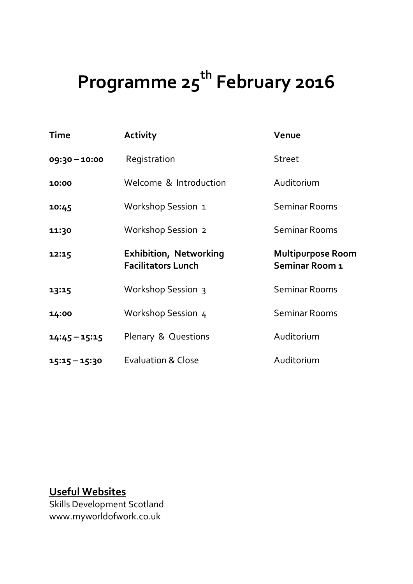# **Programme 25th February 2016**

| Time            | <b>Activity</b>                                            | Venue                                      |
|-----------------|------------------------------------------------------------|--------------------------------------------|
| 09:30 - 10:00   | Registration                                               | <b>Street</b>                              |
| 10:00           | Welcome & Introduction                                     | Auditorium                                 |
| 10:45           | Workshop Session 1                                         | <b>Seminar Rooms</b>                       |
| 11:30           | Workshop Session 2                                         | <b>Seminar Rooms</b>                       |
| 12:15           | <b>Exhibition, Networking</b><br><b>Facilitators Lunch</b> | <b>Multipurpose Room</b><br>Seminar Room 1 |
|                 |                                                            |                                            |
| 13:15           | Workshop Session 3                                         | <b>Seminar Rooms</b>                       |
| 14:00           | Workshop Session 4                                         | <b>Seminar Rooms</b>                       |
| $14:45 - 15:15$ | <b>Plenary &amp; Questions</b>                             | Auditorium                                 |

# **Useful Websites**

Skills Development Scotland www.myworldofwork.co.uk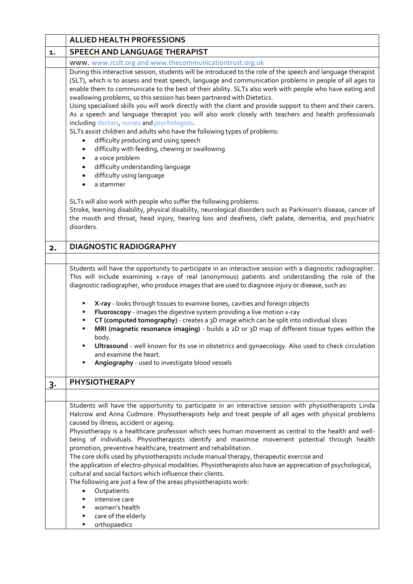|       | <b>ALLIED HEALTH PROFESSIONS</b>                                                                                                                                                                                                                                                                                                                                                                                                                                                                                                                                                                                                                                                                                                                                                                                                                                                                                                                                                                       |  |
|-------|--------------------------------------------------------------------------------------------------------------------------------------------------------------------------------------------------------------------------------------------------------------------------------------------------------------------------------------------------------------------------------------------------------------------------------------------------------------------------------------------------------------------------------------------------------------------------------------------------------------------------------------------------------------------------------------------------------------------------------------------------------------------------------------------------------------------------------------------------------------------------------------------------------------------------------------------------------------------------------------------------------|--|
| 1.    | <b>SPEECH AND LANGUAGE THERAPIST</b>                                                                                                                                                                                                                                                                                                                                                                                                                                                                                                                                                                                                                                                                                                                                                                                                                                                                                                                                                                   |  |
|       | www. www.rcslt.org and www.thecommunicationtrust.org.uk                                                                                                                                                                                                                                                                                                                                                                                                                                                                                                                                                                                                                                                                                                                                                                                                                                                                                                                                                |  |
|       | During this interactive session, students will be introduced to the role of the speech and language therapist<br>(SLT), which is to assess and treat speech, language and communication problems in people of all ages to<br>enable them to communicate to the best of their ability. SLTs also work with people who have eating and<br>swallowing problems, so this session has been partnered with Dietetics.<br>Using specialised skills you will work directly with the client and provide support to them and their carers.<br>As a speech and language therapist you will also work closely with teachers and health professionals<br>including doctors, nurses and psychologists.<br>SLTs assist children and adults who have the following types of problems:<br>difficulty producing and using speech<br>difficulty with feeding, chewing or swallowing<br>a voice problem<br>difficulty understanding language<br>difficulty using language<br>a stammer                                     |  |
|       | SLTs will also work with people who suffer the following problems:<br>Stroke, learning disability, physical disability, neurological disorders such as Parkinson's disease, cancer of<br>the mouth and throat, head injury, hearing loss and deafness, cleft palate, dementia, and psychiatric<br>disorders.                                                                                                                                                                                                                                                                                                                                                                                                                                                                                                                                                                                                                                                                                           |  |
| 2.    | <b>DIAGNOSTIC RADIOGRAPHY</b>                                                                                                                                                                                                                                                                                                                                                                                                                                                                                                                                                                                                                                                                                                                                                                                                                                                                                                                                                                          |  |
|       |                                                                                                                                                                                                                                                                                                                                                                                                                                                                                                                                                                                                                                                                                                                                                                                                                                                                                                                                                                                                        |  |
|       | Students will have the opportunity to participate in an interactive session with a diagnostic radiographer.<br>This will include examining x-rays of real (anonymous) patients and understanding the role of the<br>diagnostic radiographer, who produce images that are used to diagnose injury or disease, such as:<br>X-ray - looks through tissues to examine bones, cavities and foreign objects<br>Fluoroscopy - images the digestive system providing a live motion x-ray<br>CT (computed tomography) - creates a 3D image which can be split into individual slices<br>MRI (magnetic resonance imaging) - builds a 2D or 3D map of different tissue types within the<br>body.<br>Ultrasound - well known for its use in obstetrics and gynaecology. Also used to check circulation<br>and examine the heart.<br>Angiography - used to investigate blood vessels                                                                                                                                |  |
| $3 -$ | <b>PHYSIOTHERAPY</b>                                                                                                                                                                                                                                                                                                                                                                                                                                                                                                                                                                                                                                                                                                                                                                                                                                                                                                                                                                                   |  |
|       |                                                                                                                                                                                                                                                                                                                                                                                                                                                                                                                                                                                                                                                                                                                                                                                                                                                                                                                                                                                                        |  |
|       | Students will have the opportunity to participate in an interactive session with physiotherapists Linda<br>Halcrow and Anna Cudmore. Physiotherapists help and treat people of all ages with physical problems<br>caused by illness, accident or ageing.<br>Physiotherapy is a healthcare profession which sees human movement as central to the health and well-<br>being of individuals. Physiotherapists identify and maximise movement potential through health<br>promotion, preventive healthcare, treatment and rehabilitation.<br>The core skills used by physiotherapists include manual therapy, therapeutic exercise and<br>the application of electro-physical modalities. Physiotherapists also have an appreciation of psychological,<br>cultural and social factors which influence their clients.<br>The following are just a few of the areas physiotherapists work:<br>Outpatients<br>$\bullet$<br>intensive care<br>women's health<br>care of the elderly<br>٠<br>orthopaedics<br>٠ |  |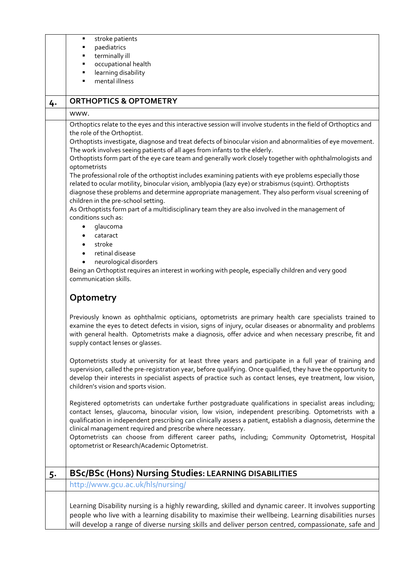|    | stroke patients                                                                                                                                                                                                                                                                                                                                                                                                                                                                                                                                                                                                                                                                                                                                                                                                                                                                                                                                                                                                                                                                                                                                                                                                                                                                                                                                                                                                                                                                                                                                                                                                                                                                                                                                                                                                                                                                                                                                                                                                                                                                                                                                                                                                                                                                                  |
|----|--------------------------------------------------------------------------------------------------------------------------------------------------------------------------------------------------------------------------------------------------------------------------------------------------------------------------------------------------------------------------------------------------------------------------------------------------------------------------------------------------------------------------------------------------------------------------------------------------------------------------------------------------------------------------------------------------------------------------------------------------------------------------------------------------------------------------------------------------------------------------------------------------------------------------------------------------------------------------------------------------------------------------------------------------------------------------------------------------------------------------------------------------------------------------------------------------------------------------------------------------------------------------------------------------------------------------------------------------------------------------------------------------------------------------------------------------------------------------------------------------------------------------------------------------------------------------------------------------------------------------------------------------------------------------------------------------------------------------------------------------------------------------------------------------------------------------------------------------------------------------------------------------------------------------------------------------------------------------------------------------------------------------------------------------------------------------------------------------------------------------------------------------------------------------------------------------------------------------------------------------------------------------------------------------|
|    | paediatrics                                                                                                                                                                                                                                                                                                                                                                                                                                                                                                                                                                                                                                                                                                                                                                                                                                                                                                                                                                                                                                                                                                                                                                                                                                                                                                                                                                                                                                                                                                                                                                                                                                                                                                                                                                                                                                                                                                                                                                                                                                                                                                                                                                                                                                                                                      |
|    | terminally ill                                                                                                                                                                                                                                                                                                                                                                                                                                                                                                                                                                                                                                                                                                                                                                                                                                                                                                                                                                                                                                                                                                                                                                                                                                                                                                                                                                                                                                                                                                                                                                                                                                                                                                                                                                                                                                                                                                                                                                                                                                                                                                                                                                                                                                                                                   |
|    | occupational health<br>learning disability<br>٠                                                                                                                                                                                                                                                                                                                                                                                                                                                                                                                                                                                                                                                                                                                                                                                                                                                                                                                                                                                                                                                                                                                                                                                                                                                                                                                                                                                                                                                                                                                                                                                                                                                                                                                                                                                                                                                                                                                                                                                                                                                                                                                                                                                                                                                  |
|    | mental illness                                                                                                                                                                                                                                                                                                                                                                                                                                                                                                                                                                                                                                                                                                                                                                                                                                                                                                                                                                                                                                                                                                                                                                                                                                                                                                                                                                                                                                                                                                                                                                                                                                                                                                                                                                                                                                                                                                                                                                                                                                                                                                                                                                                                                                                                                   |
|    |                                                                                                                                                                                                                                                                                                                                                                                                                                                                                                                                                                                                                                                                                                                                                                                                                                                                                                                                                                                                                                                                                                                                                                                                                                                                                                                                                                                                                                                                                                                                                                                                                                                                                                                                                                                                                                                                                                                                                                                                                                                                                                                                                                                                                                                                                                  |
| 4. | <b>ORTHOPTICS &amp; OPTOMETRY</b>                                                                                                                                                                                                                                                                                                                                                                                                                                                                                                                                                                                                                                                                                                                                                                                                                                                                                                                                                                                                                                                                                                                                                                                                                                                                                                                                                                                                                                                                                                                                                                                                                                                                                                                                                                                                                                                                                                                                                                                                                                                                                                                                                                                                                                                                |
|    | www.                                                                                                                                                                                                                                                                                                                                                                                                                                                                                                                                                                                                                                                                                                                                                                                                                                                                                                                                                                                                                                                                                                                                                                                                                                                                                                                                                                                                                                                                                                                                                                                                                                                                                                                                                                                                                                                                                                                                                                                                                                                                                                                                                                                                                                                                                             |
|    | Orthoptics relate to the eyes and this interactive session will involve students in the field of Orthoptics and<br>the role of the Orthoptist.<br>Orthoptists investigate, diagnose and treat defects of binocular vision and abnormalities of eye movement.<br>The work involves seeing patients of all ages from infants to the elderly.<br>Orthoptists form part of the eye care team and generally work closely together with ophthalmologists and<br>optometrists<br>The professional role of the orthoptist includes examining patients with eye problems especially those<br>related to ocular motility, binocular vision, amblyopia (lazy eye) or strabismus (squint). Orthoptists<br>diagnose these problems and determine appropriate management. They also perform visual screening of<br>children in the pre-school setting.<br>As Orthoptists form part of a multidisciplinary team they are also involved in the management of<br>conditions such as:<br>glaucoma<br>cataract<br>stroke<br>retinal disease<br>neurological disorders<br>Being an Orthoptist requires an interest in working with people, especially children and very good<br>communication skills.<br>Optometry<br>Previously known as ophthalmic opticians, optometrists are primary health care specialists trained to<br>examine the eyes to detect defects in vision, signs of injury, ocular diseases or abnormality and problems<br>with general health. Optometrists make a diagnosis, offer advice and when necessary prescribe, fit and<br>supply contact lenses or glasses.<br>Optometrists study at university for at least three years and participate in a full year of training and<br>supervision, called the pre-registration year, before qualifying. Once qualified, they have the opportunity to<br>develop their interests in specialist aspects of practice such as contact lenses, eye treatment, low vision,<br>children's vision and sports vision.<br>Registered optometrists can undertake further postgraduate qualifications in specialist areas including;<br>contact lenses, glaucoma, binocular vision, low vision, independent prescribing. Optometrists with a<br>qualification in independent prescribing can clinically assess a patient, establish a diagnosis, determine the |
|    | clinical management required and prescribe where necessary.<br>Optometrists can choose from different career paths, including; Community Optometrist, Hospital<br>optometrist or Research/Academic Optometrist.                                                                                                                                                                                                                                                                                                                                                                                                                                                                                                                                                                                                                                                                                                                                                                                                                                                                                                                                                                                                                                                                                                                                                                                                                                                                                                                                                                                                                                                                                                                                                                                                                                                                                                                                                                                                                                                                                                                                                                                                                                                                                  |
| 5. | <b>BSc/BSc (Hons) Nursing Studies: LEARNING DISABILITIES</b>                                                                                                                                                                                                                                                                                                                                                                                                                                                                                                                                                                                                                                                                                                                                                                                                                                                                                                                                                                                                                                                                                                                                                                                                                                                                                                                                                                                                                                                                                                                                                                                                                                                                                                                                                                                                                                                                                                                                                                                                                                                                                                                                                                                                                                     |
|    | http://www.gcu.ac.uk/hls/nursing/                                                                                                                                                                                                                                                                                                                                                                                                                                                                                                                                                                                                                                                                                                                                                                                                                                                                                                                                                                                                                                                                                                                                                                                                                                                                                                                                                                                                                                                                                                                                                                                                                                                                                                                                                                                                                                                                                                                                                                                                                                                                                                                                                                                                                                                                |
|    |                                                                                                                                                                                                                                                                                                                                                                                                                                                                                                                                                                                                                                                                                                                                                                                                                                                                                                                                                                                                                                                                                                                                                                                                                                                                                                                                                                                                                                                                                                                                                                                                                                                                                                                                                                                                                                                                                                                                                                                                                                                                                                                                                                                                                                                                                                  |
|    | Learning Disability nursing is a highly rewarding, skilled and dynamic career. It involves supporting<br>people who live with a learning disability to maximise their wellbeing. Learning disabilities nurses                                                                                                                                                                                                                                                                                                                                                                                                                                                                                                                                                                                                                                                                                                                                                                                                                                                                                                                                                                                                                                                                                                                                                                                                                                                                                                                                                                                                                                                                                                                                                                                                                                                                                                                                                                                                                                                                                                                                                                                                                                                                                    |
|    | will develop a range of diverse nursing skills and deliver person centred, compassionate, safe and                                                                                                                                                                                                                                                                                                                                                                                                                                                                                                                                                                                                                                                                                                                                                                                                                                                                                                                                                                                                                                                                                                                                                                                                                                                                                                                                                                                                                                                                                                                                                                                                                                                                                                                                                                                                                                                                                                                                                                                                                                                                                                                                                                                               |
|    |                                                                                                                                                                                                                                                                                                                                                                                                                                                                                                                                                                                                                                                                                                                                                                                                                                                                                                                                                                                                                                                                                                                                                                                                                                                                                                                                                                                                                                                                                                                                                                                                                                                                                                                                                                                                                                                                                                                                                                                                                                                                                                                                                                                                                                                                                                  |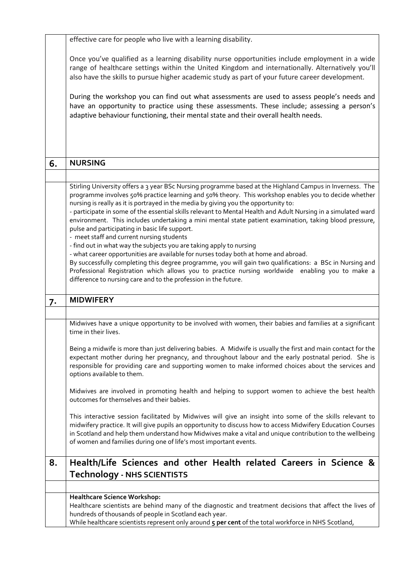effective care for people who live with a learning disability.

Once you've qualified as a learning disability nurse opportunities include employment in a wide range of healthcare settings within the United Kingdom and internationally. Alternatively you'll also have the skills to pursue higher academic study as part of your future career development.

During the workshop you can find out what assessments are used to assess people's needs and have an opportunity to practice using these assessments. These include; assessing a person's adaptive behaviour functioning, their mental state and their overall health needs.

| 6. | <b>NURSING</b>                                                                                                                                                                                                                                                                                                                                                                                                                                                                                                                                                                                                                                                                                                                                                                                                                                                                                                                                                                                                                                                                    |
|----|-----------------------------------------------------------------------------------------------------------------------------------------------------------------------------------------------------------------------------------------------------------------------------------------------------------------------------------------------------------------------------------------------------------------------------------------------------------------------------------------------------------------------------------------------------------------------------------------------------------------------------------------------------------------------------------------------------------------------------------------------------------------------------------------------------------------------------------------------------------------------------------------------------------------------------------------------------------------------------------------------------------------------------------------------------------------------------------|
|    |                                                                                                                                                                                                                                                                                                                                                                                                                                                                                                                                                                                                                                                                                                                                                                                                                                                                                                                                                                                                                                                                                   |
|    | Stirling University offers a 3 year BSc Nursing programme based at the Highland Campus in Inverness. The<br>programme involves 50% practice learning and 50% theory. This workshop enables you to decide whether<br>nursing is really as it is portrayed in the media by giving you the opportunity to:<br>- participate in some of the essential skills relevant to Mental Health and Adult Nursing in a simulated ward<br>environment. This includes undertaking a mini mental state patient examination, taking blood pressure,<br>pulse and participating in basic life support.<br>- meet staff and current nursing students<br>- find out in what way the subjects you are taking apply to nursing<br>- what career opportunities are available for nurses today both at home and abroad.<br>By successfully completing this degree programme, you will gain two qualifications: a BSc in Nursing and<br>Professional Registration which allows you to practice nursing worldwide enabling you to make a<br>difference to nursing care and to the profession in the future. |
| 7. | <b>MIDWIFERY</b>                                                                                                                                                                                                                                                                                                                                                                                                                                                                                                                                                                                                                                                                                                                                                                                                                                                                                                                                                                                                                                                                  |
|    |                                                                                                                                                                                                                                                                                                                                                                                                                                                                                                                                                                                                                                                                                                                                                                                                                                                                                                                                                                                                                                                                                   |
|    | Midwives have a unique opportunity to be involved with women, their babies and families at a significant<br>time in their lives.                                                                                                                                                                                                                                                                                                                                                                                                                                                                                                                                                                                                                                                                                                                                                                                                                                                                                                                                                  |
|    | Being a midwife is more than just delivering babies. A Midwife is usually the first and main contact for the<br>expectant mother during her pregnancy, and throughout labour and the early postnatal period. She is<br>responsible for providing care and supporting women to make informed choices about the services and<br>options available to them.                                                                                                                                                                                                                                                                                                                                                                                                                                                                                                                                                                                                                                                                                                                          |
|    | Midwives are involved in promoting health and helping to support women to achieve the best health<br>outcomes for themselves and their babies.                                                                                                                                                                                                                                                                                                                                                                                                                                                                                                                                                                                                                                                                                                                                                                                                                                                                                                                                    |
|    | This interactive session facilitated by Midwives will give an insight into some of the skills relevant to<br>midwifery practice. It will give pupils an opportunity to discuss how to access Midwifery Education Courses<br>in Scotland and help them understand how Midwives make a vital and unique contribution to the wellbeing<br>of women and families during one of life's most important events.                                                                                                                                                                                                                                                                                                                                                                                                                                                                                                                                                                                                                                                                          |
| 8. | Health/Life Sciences and other Health related Careers in Science &                                                                                                                                                                                                                                                                                                                                                                                                                                                                                                                                                                                                                                                                                                                                                                                                                                                                                                                                                                                                                |
|    | Technology - NHS SCIENTISTS                                                                                                                                                                                                                                                                                                                                                                                                                                                                                                                                                                                                                                                                                                                                                                                                                                                                                                                                                                                                                                                       |
|    |                                                                                                                                                                                                                                                                                                                                                                                                                                                                                                                                                                                                                                                                                                                                                                                                                                                                                                                                                                                                                                                                                   |
|    | Healthcare Science Workshop:<br>Healthcare scientists are behind many of the diagnostic and treatment decisions that affect the lives of<br>hundreds of thousands of people in Scotland each year.<br>While healthcare scientists represent only around 5 per cent of the total workforce in NHS Scotland,                                                                                                                                                                                                                                                                                                                                                                                                                                                                                                                                                                                                                                                                                                                                                                        |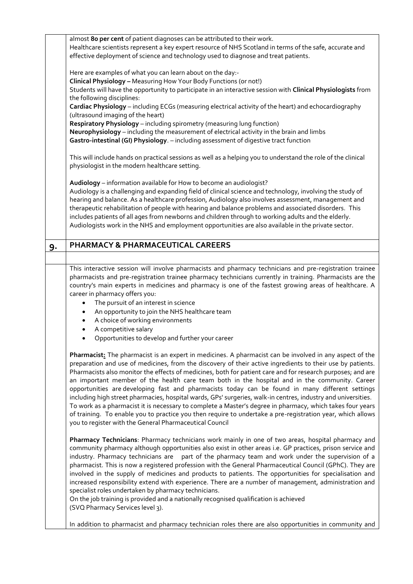|    | almost 80 per cent of patient diagnoses can be attributed to their work.<br>Healthcare scientists represent a key expert resource of NHS Scotland in terms of the safe, accurate and<br>effective deployment of science and technology used to diagnose and treat patients.                                                                                                                                                                                                                                                                                                                                                                                                                                                                                                                                                                                                                                                                     |
|----|-------------------------------------------------------------------------------------------------------------------------------------------------------------------------------------------------------------------------------------------------------------------------------------------------------------------------------------------------------------------------------------------------------------------------------------------------------------------------------------------------------------------------------------------------------------------------------------------------------------------------------------------------------------------------------------------------------------------------------------------------------------------------------------------------------------------------------------------------------------------------------------------------------------------------------------------------|
|    |                                                                                                                                                                                                                                                                                                                                                                                                                                                                                                                                                                                                                                                                                                                                                                                                                                                                                                                                                 |
|    | Here are examples of what you can learn about on the day:-                                                                                                                                                                                                                                                                                                                                                                                                                                                                                                                                                                                                                                                                                                                                                                                                                                                                                      |
|    | Clinical Physiology - Measuring How Your Body Functions (or not!)<br>Students will have the opportunity to participate in an interactive session with Clinical Physiologists from                                                                                                                                                                                                                                                                                                                                                                                                                                                                                                                                                                                                                                                                                                                                                               |
|    | the following disciplines:                                                                                                                                                                                                                                                                                                                                                                                                                                                                                                                                                                                                                                                                                                                                                                                                                                                                                                                      |
|    | Cardiac Physiology - including ECGs (measuring electrical activity of the heart) and echocardiography<br>(ultrasound imaging of the heart)                                                                                                                                                                                                                                                                                                                                                                                                                                                                                                                                                                                                                                                                                                                                                                                                      |
|    | Respiratory Physiology - including spirometry (measuring lung function)                                                                                                                                                                                                                                                                                                                                                                                                                                                                                                                                                                                                                                                                                                                                                                                                                                                                         |
|    | Neurophysiology - including the measurement of electrical activity in the brain and limbs                                                                                                                                                                                                                                                                                                                                                                                                                                                                                                                                                                                                                                                                                                                                                                                                                                                       |
|    | Gastro-intestinal (GI) Physiology. - including assessment of digestive tract function                                                                                                                                                                                                                                                                                                                                                                                                                                                                                                                                                                                                                                                                                                                                                                                                                                                           |
|    | This will include hands on practical sessions as well as a helping you to understand the role of the clinical<br>physiologist in the modern healthcare setting.                                                                                                                                                                                                                                                                                                                                                                                                                                                                                                                                                                                                                                                                                                                                                                                 |
|    | Audiology - information available for How to become an audiologist?                                                                                                                                                                                                                                                                                                                                                                                                                                                                                                                                                                                                                                                                                                                                                                                                                                                                             |
|    | Audiology is a challenging and expanding field of clinical science and technology, involving the study of<br>hearing and balance. As a healthcare profession, Audiology also involves assessment, management and<br>therapeutic rehabilitation of people with hearing and balance problems and associated disorders. This                                                                                                                                                                                                                                                                                                                                                                                                                                                                                                                                                                                                                       |
|    | includes patients of all ages from newborns and children through to working adults and the elderly.<br>Audiologists work in the NHS and employment opportunities are also available in the private sector.                                                                                                                                                                                                                                                                                                                                                                                                                                                                                                                                                                                                                                                                                                                                      |
| 9. | <b>PHARMACY &amp; PHARMACEUTICAL CAREERS</b>                                                                                                                                                                                                                                                                                                                                                                                                                                                                                                                                                                                                                                                                                                                                                                                                                                                                                                    |
|    |                                                                                                                                                                                                                                                                                                                                                                                                                                                                                                                                                                                                                                                                                                                                                                                                                                                                                                                                                 |
|    | This interactive session will involve pharmacists and pharmacy technicians and pre-registration trainee<br>pharmacists and pre-registration trainee pharmacy technicians currently in training. Pharmacists are the<br>country's main experts in medicines and pharmacy is one of the fastest growing areas of healthcare. A<br>career in pharmacy offers you:                                                                                                                                                                                                                                                                                                                                                                                                                                                                                                                                                                                  |
|    | The pursuit of an interest in science<br>$\bullet$<br>An opportunity to join the NHS healthcare team                                                                                                                                                                                                                                                                                                                                                                                                                                                                                                                                                                                                                                                                                                                                                                                                                                            |
|    | A choice of working environments                                                                                                                                                                                                                                                                                                                                                                                                                                                                                                                                                                                                                                                                                                                                                                                                                                                                                                                |
|    | A competitive salary                                                                                                                                                                                                                                                                                                                                                                                                                                                                                                                                                                                                                                                                                                                                                                                                                                                                                                                            |
|    | Opportunities to develop and further your career                                                                                                                                                                                                                                                                                                                                                                                                                                                                                                                                                                                                                                                                                                                                                                                                                                                                                                |
|    | Pharmacist: The pharmacist is an expert in medicines. A pharmacist can be involved in any aspect of the<br>preparation and use of medicines, from the discovery of their active ingredients to their use by patients.<br>Pharmacists also monitor the effects of medicines, both for patient care and for research purposes; and are<br>an important member of the health care team both in the hospital and in the community. Career<br>opportunities are developing fast and pharmacists today can be found in many different settings<br>including high street pharmacies, hospital wards, GPs' surgeries, walk-in centres, industry and universities.<br>To work as a pharmacist it is necessary to complete a Master's degree in pharmacy, which takes four years<br>of training. To enable you to practice you then require to undertake a pre-registration year, which allows<br>you to register with the General Pharmaceutical Council |
|    | Pharmacy Technicians: Pharmacy technicians work mainly in one of two areas, hospital pharmacy and<br>community pharmacy although opportunities also exist in other areas i.e. GP practices, prison service and<br>industry. Pharmacy technicians are part of the pharmacy team and work under the supervision of a<br>pharmacist. This is now a registered profession with the General Pharmaceutical Council (GPhC). They are<br>involved in the supply of medicines and products to patients. The opportunities for specialisation and<br>increased responsibility extend with experience. There are a number of management, administration and<br>specialist roles undertaken by pharmacy technicians.<br>On the job training is provided and a nationally recognised qualification is achieved<br>(SVQ Pharmacy Services level 3).                                                                                                          |
|    | In addition to pharmacist and pharmacy technician roles there are also opportunities in community and                                                                                                                                                                                                                                                                                                                                                                                                                                                                                                                                                                                                                                                                                                                                                                                                                                           |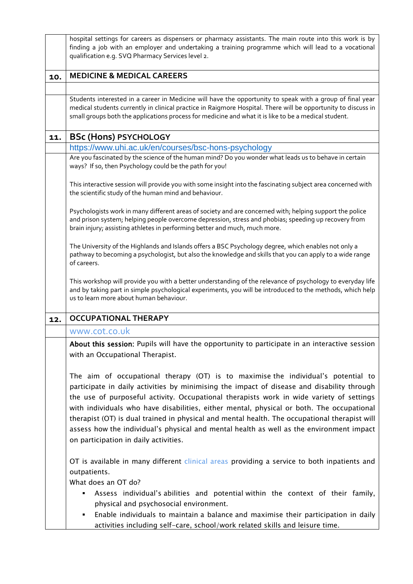|     | hospital settings for careers as dispensers or pharmacy assistants. The main route into this work is by<br>finding a job with an employer and undertaking a training programme which will lead to a vocational<br>qualification e.g. SVQ Pharmacy Services level 2.                                                                                                                                                                                                                                                                                                                                            |  |
|-----|----------------------------------------------------------------------------------------------------------------------------------------------------------------------------------------------------------------------------------------------------------------------------------------------------------------------------------------------------------------------------------------------------------------------------------------------------------------------------------------------------------------------------------------------------------------------------------------------------------------|--|
| 10. | <b>MEDICINE &amp; MEDICAL CAREERS</b>                                                                                                                                                                                                                                                                                                                                                                                                                                                                                                                                                                          |  |
|     |                                                                                                                                                                                                                                                                                                                                                                                                                                                                                                                                                                                                                |  |
|     | Students interested in a career in Medicine will have the opportunity to speak with a group of final year<br>medical students currently in clinical practice in Raigmore Hospital. There will be opportunity to discuss in<br>small groups both the applications process for medicine and what it is like to be a medical student.                                                                                                                                                                                                                                                                             |  |
| 11. | <b>BSc (Hons) PSYCHOLOGY</b>                                                                                                                                                                                                                                                                                                                                                                                                                                                                                                                                                                                   |  |
|     | https://www.uhi.ac.uk/en/courses/bsc-hons-psychology                                                                                                                                                                                                                                                                                                                                                                                                                                                                                                                                                           |  |
|     | Are you fascinated by the science of the human mind? Do you wonder what leads us to behave in certain<br>ways? If so, then Psychology could be the path for you!                                                                                                                                                                                                                                                                                                                                                                                                                                               |  |
|     | This interactive session will provide you with some insight into the fascinating subject area concerned with<br>the scientific study of the human mind and behaviour.                                                                                                                                                                                                                                                                                                                                                                                                                                          |  |
|     | Psychologists work in many different areas of society and are concerned with; helping support the police<br>and prison system; helping people overcome depression, stress and phobias; speeding up recovery from<br>brain injury; assisting athletes in performing better and much, much more.                                                                                                                                                                                                                                                                                                                 |  |
|     | The University of the Highlands and Islands offers a BSC Psychology degree, which enables not only a<br>pathway to becoming a psychologist, but also the knowledge and skills that you can apply to a wide range<br>of careers.                                                                                                                                                                                                                                                                                                                                                                                |  |
|     | This workshop will provide you with a better understanding of the relevance of psychology to everyday life<br>and by taking part in simple psychological experiments, you will be introduced to the methods, which help<br>us to learn more about human behaviour.                                                                                                                                                                                                                                                                                                                                             |  |
| 12. | <b>OCCUPATIONAL THERAPY</b>                                                                                                                                                                                                                                                                                                                                                                                                                                                                                                                                                                                    |  |
|     | www.cot.co.uk                                                                                                                                                                                                                                                                                                                                                                                                                                                                                                                                                                                                  |  |
|     | About this session: Pupils will have the opportunity to participate in an interactive session<br>with an Occupational Therapist.                                                                                                                                                                                                                                                                                                                                                                                                                                                                               |  |
|     | The aim of occupational therapy (OT) is to maximise the individual's potential to<br>participate in daily activities by minimising the impact of disease and disability through<br>the use of purposeful activity. Occupational therapists work in wide variety of settings<br>with individuals who have disabilities, either mental, physical or both. The occupational<br>therapist (OT) is dual trained in physical and mental health. The occupational therapist will<br>assess how the individual's physical and mental health as well as the environment impact<br>on participation in daily activities. |  |
|     | OT is available in many different clinical areas providing a service to both inpatients and<br>outpatients.                                                                                                                                                                                                                                                                                                                                                                                                                                                                                                    |  |
|     | What does an OT do?                                                                                                                                                                                                                                                                                                                                                                                                                                                                                                                                                                                            |  |
|     | Assess individual's abilities and potential within the context of their family,<br>physical and psychosocial environment.                                                                                                                                                                                                                                                                                                                                                                                                                                                                                      |  |
|     | Enable individuals to maintain a balance and maximise their participation in daily<br>٠                                                                                                                                                                                                                                                                                                                                                                                                                                                                                                                        |  |
|     | activities including self-care, school/work related skills and leisure time.                                                                                                                                                                                                                                                                                                                                                                                                                                                                                                                                   |  |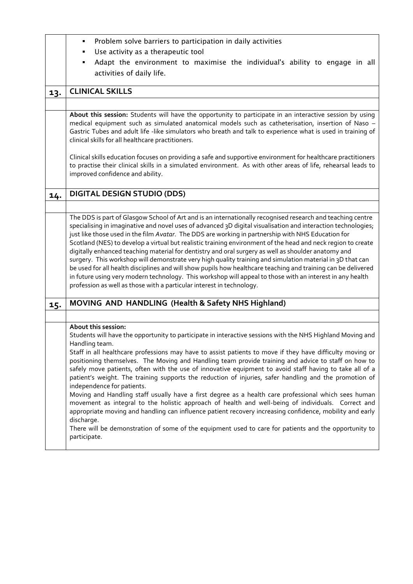|     | Problem solve barriers to participation in daily activities<br>٠                                                                                                                                                                                                                                                                                                                                                                                                                                                                                                                                                                                                                                                                                                                                                                                                                                                                                                                                                                                                                            |  |  |
|-----|---------------------------------------------------------------------------------------------------------------------------------------------------------------------------------------------------------------------------------------------------------------------------------------------------------------------------------------------------------------------------------------------------------------------------------------------------------------------------------------------------------------------------------------------------------------------------------------------------------------------------------------------------------------------------------------------------------------------------------------------------------------------------------------------------------------------------------------------------------------------------------------------------------------------------------------------------------------------------------------------------------------------------------------------------------------------------------------------|--|--|
|     | Use activity as a therapeutic tool<br>٠                                                                                                                                                                                                                                                                                                                                                                                                                                                                                                                                                                                                                                                                                                                                                                                                                                                                                                                                                                                                                                                     |  |  |
|     | Adapt the environment to maximise the individual's ability to engage in all<br>٠                                                                                                                                                                                                                                                                                                                                                                                                                                                                                                                                                                                                                                                                                                                                                                                                                                                                                                                                                                                                            |  |  |
|     | activities of daily life.                                                                                                                                                                                                                                                                                                                                                                                                                                                                                                                                                                                                                                                                                                                                                                                                                                                                                                                                                                                                                                                                   |  |  |
|     |                                                                                                                                                                                                                                                                                                                                                                                                                                                                                                                                                                                                                                                                                                                                                                                                                                                                                                                                                                                                                                                                                             |  |  |
| 13. | <b>CLINICAL SKILLS</b>                                                                                                                                                                                                                                                                                                                                                                                                                                                                                                                                                                                                                                                                                                                                                                                                                                                                                                                                                                                                                                                                      |  |  |
|     |                                                                                                                                                                                                                                                                                                                                                                                                                                                                                                                                                                                                                                                                                                                                                                                                                                                                                                                                                                                                                                                                                             |  |  |
|     | About this session: Students will have the opportunity to participate in an interactive session by using<br>medical equipment such as simulated anatomical models such as catheterisation, insertion of Naso -<br>Gastric Tubes and adult life -like simulators who breath and talk to experience what is used in training of<br>clinical skills for all healthcare practitioners.                                                                                                                                                                                                                                                                                                                                                                                                                                                                                                                                                                                                                                                                                                          |  |  |
|     | Clinical skills education focuses on providing a safe and supportive environment for healthcare practitioners<br>to practise their clinical skills in a simulated environment. As with other areas of life, rehearsal leads to<br>improved confidence and ability.                                                                                                                                                                                                                                                                                                                                                                                                                                                                                                                                                                                                                                                                                                                                                                                                                          |  |  |
| 14. | <b>DIGITAL DESIGN STUDIO (DDS)</b>                                                                                                                                                                                                                                                                                                                                                                                                                                                                                                                                                                                                                                                                                                                                                                                                                                                                                                                                                                                                                                                          |  |  |
|     |                                                                                                                                                                                                                                                                                                                                                                                                                                                                                                                                                                                                                                                                                                                                                                                                                                                                                                                                                                                                                                                                                             |  |  |
|     | The DDS is part of Glasgow School of Art and is an internationally recognised research and teaching centre<br>specialising in imaginative and novel uses of advanced 3D digital visualisation and interaction technologies;<br>just like those used in the film Avatar. The DDS are working in partnership with NHS Education for<br>Scotland (NES) to develop a virtual but realistic training environment of the head and neck region to create<br>digitally enhanced teaching material for dentistry and oral surgery as well as shoulder anatomy and<br>surgery. This workshop will demonstrate very high quality training and simulation material in 3D that can<br>be used for all health disciplines and will show pupils how healthcare teaching and training can be delivered<br>in future using very modern technology. This workshop will appeal to those with an interest in any health<br>profession as well as those with a particular interest in technology.                                                                                                                |  |  |
| 15. | MOVING AND HANDLING (Health & Safety NHS Highland)                                                                                                                                                                                                                                                                                                                                                                                                                                                                                                                                                                                                                                                                                                                                                                                                                                                                                                                                                                                                                                          |  |  |
|     |                                                                                                                                                                                                                                                                                                                                                                                                                                                                                                                                                                                                                                                                                                                                                                                                                                                                                                                                                                                                                                                                                             |  |  |
|     | About this session:<br>Students will have the opportunity to participate in interactive sessions with the NHS Highland Moving and<br>Handling team.<br>Staff in all healthcare professions may have to assist patients to move if they have difficulty moving or<br>positioning themselves. The Moving and Handling team provide training and advice to staff on how to<br>safely move patients, often with the use of innovative equipment to avoid staff having to take all of a<br>patient's weight. The training supports the reduction of injuries, safer handling and the promotion of<br>independence for patients.<br>Moving and Handling staff usually have a first degree as a health care professional which sees human<br>movement as integral to the holistic approach of health and well-being of individuals. Correct and<br>appropriate moving and handling can influence patient recovery increasing confidence, mobility and early<br>discharge.<br>There will be demonstration of some of the equipment used to care for patients and the opportunity to<br>participate. |  |  |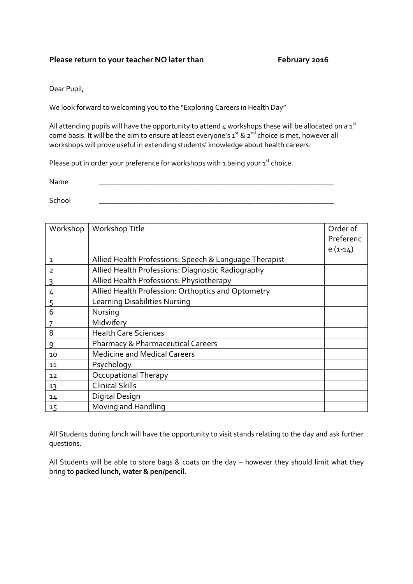#### Please return to your teacher NO later than February 2016

Dear Pupil,

We look forward to welcoming you to the "Exploring Careers in Health Day"

All attending pupils will have the opportunity to attend 4 workshops these will be allocated on a  $1<sup>st</sup>$ come basis. It will be the aim to ensure at least everyone's 1st & 2<sup>nd</sup> choice is met, however all workshops will prove useful in extending students' knowledge about health careers.

Please put in order your preference for workshops with 1 being your  $1^{st}$  choice.

Name \_\_\_\_\_\_\_\_\_\_\_\_\_\_\_\_\_\_\_\_\_\_\_\_\_\_\_\_\_\_\_\_\_\_\_\_\_\_\_\_\_\_\_\_\_\_\_\_\_\_\_\_\_\_\_\_\_\_\_\_\_\_\_

School \_\_\_\_\_\_\_\_\_\_\_\_\_\_\_\_\_\_\_\_\_\_\_\_\_\_\_\_\_\_\_\_\_\_\_\_\_\_\_\_\_\_\_\_\_\_\_\_\_\_\_\_\_\_\_\_\_\_\_\_\_\_\_

| Workshop | Workshop Title                                         | Order of  |
|----------|--------------------------------------------------------|-----------|
|          |                                                        | Preferenc |
|          |                                                        | $e(1-14)$ |
| 1        | Allied Health Professions: Speech & Language Therapist |           |
| 2        | Allied Health Professions: Diagnostic Radiography      |           |
| 3        | Allied Health Professions: Physiotherapy               |           |
| 4        | Allied Health Profession: Orthoptics and Optometry     |           |
| <u>5</u> | <b>Learning Disabilities Nursing</b>                   |           |
| 6        | Nursing                                                |           |
|          | Midwifery                                              |           |
| 8        | <b>Health Care Sciences</b>                            |           |
| 9        | <b>Pharmacy &amp; Pharmaceutical Careers</b>           |           |
| 10       | <b>Medicine and Medical Careers</b>                    |           |
| 11       | Psychology                                             |           |
| 12       | <b>Occupational Therapy</b>                            |           |
| 13       | <b>Clinical Skills</b>                                 |           |
| 14       | Digital Design                                         |           |
| 15       | Moving and Handling                                    |           |

All Students during lunch will have the opportunity to visit stands relating to the day and ask further questions.

All Students will be able to store bags & coats on the day – however they should limit what they bring to **packed lunch, water & pen/pencil**.